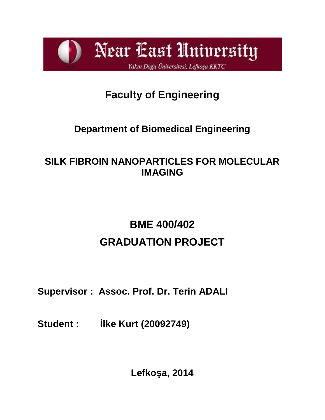Near East University Yakın Doğu Üniversitesi, Lefkoşa KKTC

# **Faculty of Engineering**

# **Department of Biomedical Engineering**

## **SILK FIBROIN NANOPARTICLES FOR MOLECULAR IMAGING**

# **BME 400/402 GRADUATION PROJECT**

## **Supervisor : Assoc. Prof. Dr. Terin ADALI**

**Student : İlke Kurt (20092749)**

Lefko a, 2014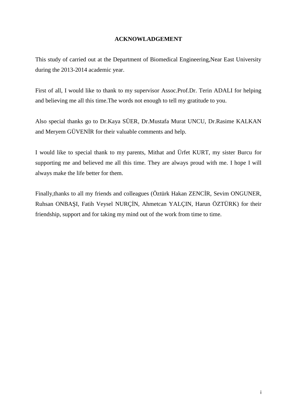#### **ACKNOWLADGEMENT**

This study of carried out at the Department of Biomedical Engineering,Near East University during the 2013-2014 academic year.

First of all, I would like to thank to my supervisor Assoc.Prof.Dr. Terin ADALI for helping and believing me all this time.The words not enough to tell my gratitude to you.

Also special thanks go to Dr.Kaya SÜER, Dr.Mustafa Murat UNCU, Dr.Rasime KALKAN and Meryem GÜVEN R for their valuable comments and help.

I would like to special thank to my parents, Mithat and Ürfet KURT, my sister Burcu for supporting me and believed me all this time. They are always proud with me. I hope I will always make the life better for them.

Finally, thanks to all my friends and colleagues (Öztürk Hakan ZENC R, Sevim ONGUNER, Ruhsan ONBA I, Fatih Veysel NURÇ N, Ahmetcan YALÇIN, Harun ÖZTÜRK) for their friendship, support and for taking my mind out of the work from time to time.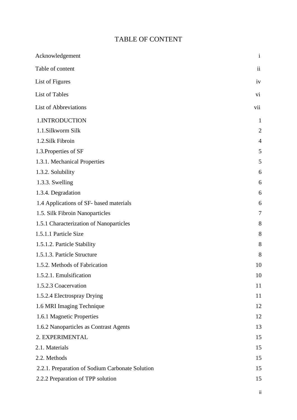## TABLE OF CONTENT

| Acknowledgement                                 | $\mathbf{i}$            |
|-------------------------------------------------|-------------------------|
| Table of content                                | $\overline{\mathbf{u}}$ |
| List of Figures                                 | iv                      |
| List of Tables                                  | vi                      |
| <b>List of Abbreviations</b>                    | vii                     |
| 1. INTRODUCTION                                 | $\mathbf{1}$            |
| 1.1.Silkworm Silk                               | $\overline{2}$          |
| 1.2.Silk Fibroin                                | $\overline{4}$          |
| 1.3. Properties of SF                           | 5                       |
| 1.3.1. Mechanical Properties                    | 5                       |
| 1.3.2. Solubility                               | 6                       |
| 1.3.3. Swelling                                 | 6                       |
| 1.3.4. Degradation                              | 6                       |
| 1.4 Applications of SF- based materials         | 6                       |
| 1.5. Silk Fibroin Nanoparticles                 | 7                       |
| 1.5.1 Characterization of Nanoparticles         | 8                       |
| 1.5.1.1 Particle Size                           | 8                       |
| 1.5.1.2. Particle Stability                     | 8                       |
| 1.5.1.3. Particle Structure                     | 8                       |
| 1.5.2. Methods of Fabrication                   | 10                      |
| 1.5.2.1. Emulsification                         | 10                      |
| 1.5.2.3 Coacervation                            | 11                      |
| 1.5.2.4 Electrospray Drying                     | 11                      |
| 1.6 MRI Imaging Technique                       | 12                      |
| 1.6.1 Magnetic Properties                       | 12                      |
| 1.6.2 Nanoparticles as Contrast Agents          | 13                      |
| 2. EXPERIMENTAL                                 | 15                      |
| 2.1. Materials                                  | 15                      |
| 2.2. Methods                                    | 15                      |
| 2.2.1. Preparation of Sodium Carbonate Solution | 15                      |
| 2.2.2 Preparation of TPP solution               | 15                      |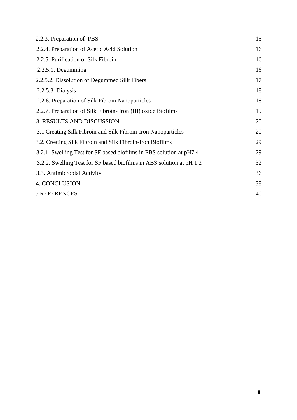| 2.2.3. Preparation of PBS                                            | 15 |
|----------------------------------------------------------------------|----|
| 2.2.4. Preparation of Acetic Acid Solution                           | 16 |
| 2.2.5. Purification of Silk Fibroin                                  | 16 |
| $2.2.5.1.$ Degumming                                                 | 16 |
| 2.2.5.2. Dissolution of Degummed Silk Fibers                         | 17 |
| 2.2.5.3. Dialysis                                                    | 18 |
| 2.2.6. Preparation of Silk Fibroin Nanoparticles                     | 18 |
| 2.2.7. Preparation of Silk Fibroin- Iron (III) oxide Biofilms        | 19 |
| <b>3. RESULTS AND DISCUSSION</b>                                     | 20 |
| 3.1. Creating Silk Fibroin and Silk Fibroin-Iron Nanoparticles       | 20 |
| 3.2. Creating Silk Fibroin and Silk Fibroin-Iron Biofilms            | 29 |
| 3.2.1. Swelling Test for SF based biofilms in PBS solution at pH7.4  | 29 |
| 3.2.2. Swelling Test for SF based biofilms in ABS solution at pH 1.2 | 32 |
| 3.3. Antimicrobial Activity                                          | 36 |
| 4. CONCLUSION                                                        | 38 |
| 5.REFERENCES                                                         | 40 |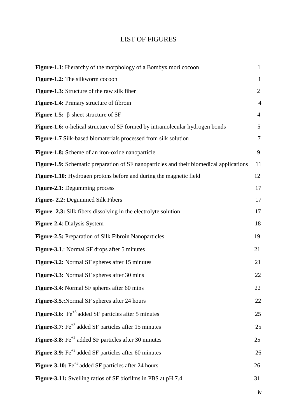## LIST OF FIGURES

| <b>Figure-1.1</b> : Hierarchy of the morphology of a Bombyx mori cocoon                        | $\mathbf{1}$   |
|------------------------------------------------------------------------------------------------|----------------|
| Figure-1.2: The silkworm cocoon                                                                | $\mathbf{1}$   |
| <b>Figure-1.3:</b> Structure of the raw silk fiber                                             | $\overline{2}$ |
| Figure-1.4: Primary structure of fibroin                                                       | $\overline{4}$ |
| <b>Figure-1.5:</b> $\beta$ -sheet structure of SF                                              | $\overline{4}$ |
| Figure-1.6: $\alpha$ -helical structure of SF formed by intramolecular hydrogen bonds          | 5              |
| Figure-1.7 Silk-based biomaterials processed from silk solution                                | $\overline{7}$ |
| Figure-1.8: Scheme of an iron-oxide nanoparticle                                               | 9              |
| <b>Figure-1.9:</b> Schematic preparation of SF nanoparticles and their biomedical applications | 11             |
| Figure-1.10: Hydrogen protons before and during the magnetic field                             | 12             |
| <b>Figure-2.1:</b> Degumming process                                                           | 17             |
| Figure- 2.2: Degummed Silk Fibers                                                              | 17             |
| Figure- 2.3: Silk fibers dissolving in the electrolyte solution                                | 17             |
| Figure-2.4: Dialysis System                                                                    | 18             |
| Figure-2.5: Preparation of Silk Fibroin Nanoparticles                                          | 19             |
| <b>Figure-3.1.:</b> Normal SF drops after 5 minutes                                            | 21             |
| Figure-3.2: Normal SF spheres after 15 minutes                                                 | 21             |
| Figure-3.3: Normal SF spheres after 30 mins                                                    | 22             |
| Figure-3.4: Normal SF spheres after 60 mins                                                    | 22             |
| Figure-3.5.: Normal SF spheres after 24 hours                                                  | 22             |
| <b>Figure-3.6:</b> Fe <sup>+3</sup> added SF particles after 5 minutes                         | 25             |
| <b>Figure-3.7:</b> $Fe^{+3}$ added SF particles after 15 minutes                               | 25             |
| <b>Figure-3.8:</b> $\text{Fe}^{+2}$ added SF particles after 30 minutes                        | 25             |
| <b>Figure-3.9:</b> Fe <sup>+3</sup> added SF particles after 60 minutes                        | 26             |
| <b>Figure-3.10:</b> $Fe^{+3}$ added SF particles after 24 hours                                | 26             |
| Figure-3.11: Swelling ratios of SF biofilms in PBS at pH 7.4                                   | 31             |

iv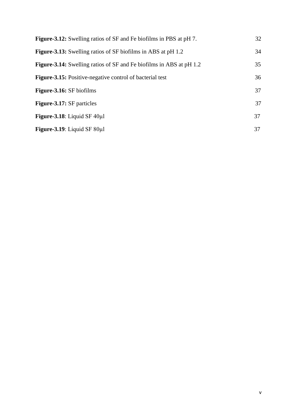| <b>Figure-3.12:</b> Swelling ratios of SF and Fe biofilms in PBS at pH 7.  | 32 |
|----------------------------------------------------------------------------|----|
| <b>Figure-3.13:</b> Swelling ratios of SF biofilms in ABS at pH 1.2        | 34 |
| <b>Figure-3.14:</b> Swelling ratios of SF and Fe biofilms in ABS at pH 1.2 | 35 |
| <b>Figure-3.15:</b> Positive-negative control of bacterial test            | 36 |
| <b>Figure-3.16:</b> SF biofilms                                            | 37 |
| <b>Figure-3.17:</b> SF particles                                           | 37 |
| Figure-3.18: Liquid SF $40\mu$ l                                           | 37 |
| Figure-3.19: Liquid SF $80\mu$ l                                           | 37 |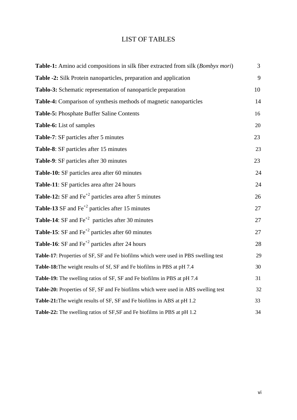## LIST OF TABLES

| Table-1: Amino acid compositions in silk fiber extracted from silk (Bombyx mori)    | 3  |
|-------------------------------------------------------------------------------------|----|
| Table -2: Silk Protein nanoparticles, preparation and application                   | 9  |
| Tablo-3: Schematic representation of nanoparticle preparation                       | 10 |
| Table-4: Comparison of synthesis methods of magnetic nanoparticles                  | 14 |
| Table-5: Phosphate Buffer Saline Contents                                           | 16 |
| Table-6: List of samples                                                            | 20 |
| Table-7: SF particles after 5 minutes                                               | 23 |
| Table-8: SF particles after 15 minutes                                              | 23 |
| Table-9: SF particles after 30 minutes                                              | 23 |
| Table-10: SF particles area after 60 minutes                                        | 24 |
| Table-11: SF particles area after 24 hours                                          | 24 |
| <b>Table-12:</b> SF and $\text{Fe}^{+2}$ particles area after 5 minutes             | 26 |
| <b>Table-13</b> SF and $\text{Fe}^{+2}$ particles after 15 minutes                  | 27 |
| <b>Table-14:</b> SF and $\text{Fe}^{+2}$ particles after 30 minutes                 | 27 |
| <b>Table-15:</b> SF and $\text{Fe}^{+2}$ particles after 60 minutes                 | 27 |
| <b>Table-16:</b> SF and $\text{Fe}^{+2}$ particles after 24 hours                   | 28 |
| Table-17: Properties of SF, SF and Fe biofilms which were used in PBS swelling test | 29 |
| Table-18: The weight results of Sf, SF and Fe biofilms in PBS at pH 7.4             | 30 |
| Table-19: The swelling ratios of SF, SF and Fe biofilms in PBS at pH 7.4            | 31 |
| Table-20: Properties of SF, SF and Fe biofilms which were used in ABS swelling test | 32 |
| Table-21: The weight results of SF, SF and Fe biofilms in ABS at pH 1.2             | 33 |
| Table-22: The swelling ratios of SF, SF and Fe biofilms in PBS at pH 1.2            | 34 |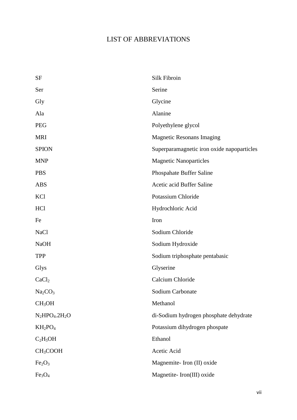## LIST OF ABBREVIATIONS

| <b>SF</b>                       | Silk Fibroin                               |
|---------------------------------|--------------------------------------------|
| Ser                             | Serine                                     |
| Gly                             | Glycine                                    |
| Ala                             | Alanine                                    |
| <b>PEG</b>                      | Polyethylene glycol                        |
| <b>MRI</b>                      | <b>Magnetic Resonans Imaging</b>           |
| <b>SPION</b>                    | Superparamagnetic iron oxide napoparticles |
| <b>MNP</b>                      | <b>Magnetic Nanoparticles</b>              |
| <b>PBS</b>                      | Phospahate Buffer Saline                   |
| <b>ABS</b>                      | Acetic acid Buffer Saline                  |
| KCl                             | Potassium Chloride                         |
| HCl                             | Hydrochloric Acid                          |
| Fe                              | Iron                                       |
| <b>NaCl</b>                     | Sodium Chloride                            |
| <b>NaOH</b>                     | Sodium Hydroxide                           |
| <b>TPP</b>                      | Sodium triphosphate pentabasic             |
| Glys                            | Glyserine                                  |
| CaCl <sub>2</sub>               | Calcium Chloride                           |
| Na <sub>2</sub> CO <sub>3</sub> | Sodium Carbonate                           |
| CH <sub>3</sub> OH              | Methanol                                   |
| $N_2HPO_4.2H_2O$                | di-Sodium hydrogen phosphate dehydrate     |
| $KH_2PO_4$                      | Potassium dihydrogen phospate              |
| $C_2H_5OH$                      | Ethanol                                    |
| CH <sub>3</sub> COOH            | Acetic Acid                                |
| Fe <sub>2</sub> O <sub>3</sub>  | Magnemite-Iron (II) oxide                  |
| Fe <sub>3</sub> O <sub>4</sub>  | Magnetite-Iron(III) oxide                  |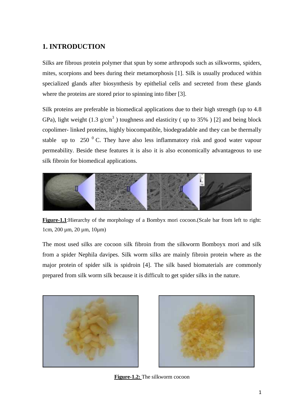## **1. INTRODUCTION**

Silks are fibrous protein polymer that spun by some arthropods such as silkworms, spiders, mites, scorpions and bees during their metamorphosis [1]. Silk is usually produced within specialized glands after biosynthesis by epithelial cells and secreted from these glands where the proteins are stored prior to spinning into fiber [3].

Silk proteins are preferable in biomedical applications due to their high strength (up to 4.8 GPa), light weight (1.3  $g/cm<sup>3</sup>$ ) toughness and elasticity (up to 35%) [2] and being block copolimer- linked proteins, highly biocompatible, biodegradable and they can be thermally stable up to 250  $\mathrm{^{0}}$  C. They have also less inflammatory risk and good water vapour permeability. Beside these features it is also it is also economically advantageous to use silk fibroin for biomedical applications.



**Figure-1.1**:Hierarchy of the morphology of a Bombyx mori cocoon.(Scale bar from left to right: 1cm, 200 µm, 20 µm, 10µm)

The most used silks are cocoon silk fibroin from the silkworm Bomboyx mori and silk from a spider Nephila davipes. Silk worm silks are mainly fibroin protein where as the major protein of spider silk is spidroin [4]. The silk based biomaterials are commonly prepared from silk worm silk because it is difficult to get spider silks in the nature.





**Figure-1.2:** The silkworm cocoon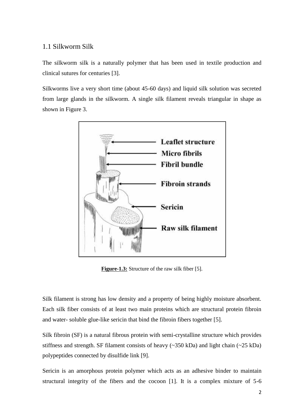#### 1.1 Silkworm Silk

The silkworm silk is a naturally polymer that has been used in textile production and clinical sutures for centuries [3].

Silkworms live a very short time (about 45-60 days) and liquid silk solution was secreted from large glands in the silkworm. A single silk filament reveals triangular in shape as shown in Figure 3.



**Figure-1.3:** Structure of the raw silk fiber [5].

Silk filament is strong has low density and a property of being highly moisture absorbent. Each silk fiber consists of at least two main proteins which are structural protein fibroin and water- soluble glue-like sericin that bind the fibroin fibers together [5].

Silk fibroin (SF) is a natural fibrous protein with semi-crystalline structure which provides stiffness and strength. SF filament consists of heavy (~350 kDa) and light chain (~25 kDa) polypeptides connected by disulfide link [9].

Sericin is an amorphous protein polymer which acts as an adhesive binder to maintain structural integrity of the fibers and the cocoon [1]. It is a complex mixture of 5-6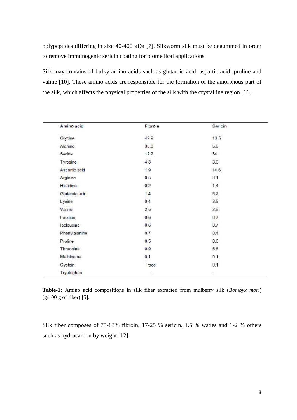polypeptides differing in size 40-400 kDa [7]. Silkworm silk must be degummed in order to remove immunogenic sericin coating for biomedical applications.

Silk may contains of bulky amino acids such as glutamic acid, aspartic acid, proline and valine [10]. These amino acids are responsible for the formation of the amorphous part of the silk, which affects the physical properties of the silk with the crystalline region [11].

| Amino acid    | Fibroin        | Sericin |  |
|---------------|----------------|---------|--|
| Glycine       | 429            | 135     |  |
| Naninc        | 30.0           | b.d     |  |
| Serine        | 12.2           | 34      |  |
| Tyrosine      | 4.8            | 3.6     |  |
| Aspartic acid | 1.9            | 11.6    |  |
| Arginine      | 0 <sub>5</sub> | 31      |  |
| Histidine     | 0.2            | 1.4     |  |
| Glutamic acid | 1.4            | 6.2     |  |
| Lysine        | 0.4            | 3.5     |  |
| Valine        | 2.5            | 2.9     |  |
| Ге капе       | 06             | 07      |  |
| looleucing    | 0.6            | 0.1     |  |
| Phenylalanine | 0.7            | 0.4     |  |
| Proirre       | 0.5            | 0.6     |  |
| Threonine     | 0.9            | 8.8     |  |
| Methionine    | 0 <sub>1</sub> | 01      |  |
| Cystein       | Trace          | 0.1     |  |
| Tryptophan    | ۳              | ١đ,     |  |

**Table-1:** Amino acid compositions in silk fiber extracted from mulberry silk (*Bombyx mori*) (g/100 g of fiber) [5].

Silk fiber composes of 75-83% fibroin, 17-25 % sericin, 1.5 % waxes and 1-2 % others such as hydrocarbon by weight [12].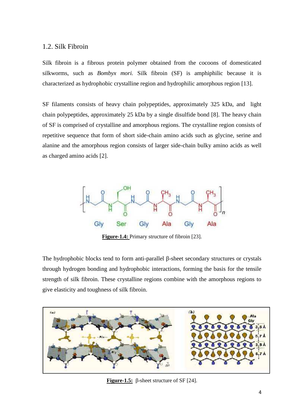#### 1.2. Silk Fibroin

Silk fibroin is a fibrous protein polymer obtained from the cocoons of domesticated silkworms, such as *Bombyx mori.* Silk fibroin (SF) is amphiphilic because it is characterized as hydrophobic crystalline region and hydrophilic amorphous region [13].

SF filaments consists of heavy chain polypeptides, approximately 325 kDa, and light chain polypeptides, approximately 25 kDa by a single disulfide bond [8]. The heavy chain of SF is comprised of crystalline and amorphous regions. The crystalline region consists of repetitive sequence that form of short side-chain amino acids such as glycine, serine and alanine and the amorphous region consists of larger side-chain bulky amino acids as well as charged amino acids [2].



**Figure-1.4:** Primary structure of fibroin [23].

The hydrophobic blocks tend to form anti-parallel -sheet secondary structures or crystals through hydrogen bonding and hydrophobic interactions, forming the basis for the tensile strength of silk fibroin. These crystalline regions combine with the amorphous regions to give elasticity and toughness of silk fibroin.



**Figure-1.5:** -sheet structure of SF [24].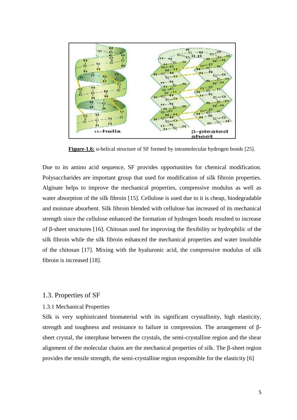

**Figure-1.6:** -helical structure of SF formed by intramolecular hydrogen bonds [25].

Due to its amino acid sequence, SF provides opportunities for chemical modification. Polysaccharides are important group that used for modification of silk fibroin properties. Alginate helps to improve the mechanical properties, compressive modulus as well as water absorption of the silk fibroin [15]. Cellulose is used due to it is cheap, biodegradable and moisture absorbent. Silk fibroin blended with cellulose has increased of its mechanical strength since the cellulose enhanced the formation of hydrogen bonds resulted to increase of -sheet structures [16]. Chitosan used for improving the flexibility or hydrophilic of the silk fibroin while the silk fibroin enhanced the mechanical properties and water insoluble of the chitosan [17]. Mixing with the hyaluronic acid, the compressive modulus of silk fibroin is increased [18].

#### 1.3. Properties of SF

#### 1.3.1 Mechanical Properties

Silk is very sophisticated biomaterial with its significant crystallinity, high elasticity, strength and toughness and resistance to failure in compression. The arrangement of sheet crystal, the interphase between the crystals, the semi-crystalline region and the shear alignment of the molecular chains are the mechanical properties of silk. The -sheet region provides the tensile strength, the semi-crystalline region responsible for the elasticity [6]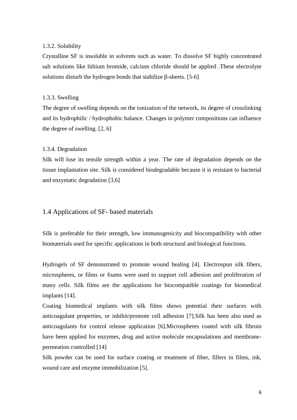#### 1.3.2. Solubility

Crystalline SF is insoluble in solvents such as water. To dissolve SF highly concentrated salt solutions like lithium bromide, calcium chloride should be applied .These electrolyte solutions disturb the hydrogen bonds that stabilize -sheets. [5-6]

#### 1.3.3. Swelling

The degree of swelling depends on the ionization of the network, its degree of crosslinking and its hydrophilic / hydrophobic balance. Changes in polymer compositions can influence the degree of swelling. [2, 6]

#### 1.3.4. Degradation

Silk will lose its tensile strength within a year. The rate of degradation depends on the tissue implantation site. Silk is considered biodegradable because it is resistant to bacterial and enzymatic degradation [3,6]

#### 1.4 Applications of SF- based materials

Silk is preferable for their strength, low immunogenicity and biocompatibility with other biomaterials used for specific applications in both structural and biological functions.

Hydrogels of SF demonstrated to promote wound healing [4]. Electrospun silk fibers, microspheres, or films or foams were used to support cell adhesion and proliferation of many cells. Silk films are the applications for biocompatible coatings for biomedical implants [14].

Coating biomedical implants with silk films shows potential their surfaces with anticoagulant properties, or inhibit/promote cell adhesion [7].Silk has been also used as anticoagulants for control release application [6].Microspheres coated with silk fibroin have been applied for enzymes, drug and active molecule encapsulations and membrane permeation controlled [14]

Silk powder can be used for surface coating or treatment of fiber, fillers in films, ink, wound care and enzyme immobilization [5].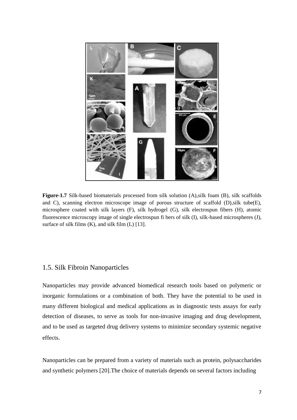

**Figure-1.7** Silk-based biomaterials processed from silk solution (A),silk foam (B), silk scaffolds and C), scanning electron microscope image of porous structure of scaffold (D),silk tube(E), microsphere coated with silk layers (F), silk hydrogel (G), silk electrospun fibers (H), atomic fluorescence microscopy image of single electrospun fi bers of silk (I), silk-based microspheres (J), surface of silk films  $(K)$ , and silk film  $(L)$  [13].

#### 1.5. Silk Fibroin Nanoparticles

Nanoparticles may provide advanced biomedical research tools based on polymeric or inorganic formulations or a combination of both. They have the potential to be used in many different biological and medical applications as in diagnostic tests assays for early detection of diseases, to serve as tools for non-invasive imaging and drug development, and to be used as targeted drug delivery systems to minimize secondary systemic negative effects.

Nanoparticles can be prepared from a variety of materials such as protein, polysaccharides and synthetic polymers [20].The choice of materials depends on several factors including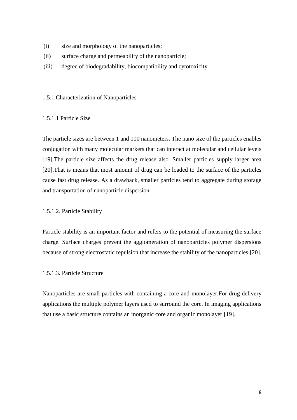- (i) size and morphology of the nanoparticles;
- (ii) surface charge and permeability of the nanoparticle;
- (iii) degree of biodegradability, biocompatibility and cytotoxicity

#### 1.5.1 Characterization of Nanoparticles

#### 1.5.1.1 Particle Size

The particle sizes are between 1 and 100 nanometers. The nano size of the particles enables conjugation with many molecular markers that can interact at molecular and cellular levels [19].The particle size affects the drug release also. Smaller particles supply larger area [20].That is means that most amount of drug can be loaded to the surface of the particles cause fast drug release. As a drawback, smaller particles tend to aggregate during storage and transportation of nanoparticle dispersion.

#### 1.5.1.2. Particle Stability

Particle stability is an important factor and refers to the potential of measuring the surface charge. Surface charges prevent the agglomeration of nanoparticles polymer dispersions because of strong electrostatic repulsion that increase the stability of the nanoparticles [20].

#### 1.5.1.3. Particle Structure

Nanoparticles are small particles with containing a core and monolayer.For drug delivery applications the multiple polymer layers used to surround the core. In imaging applications that use a basic structure contains an inorganic core and organic monolayer [19].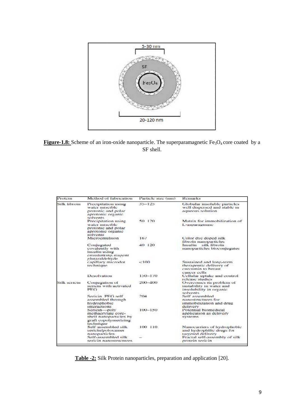



| Protein      | Method of fabrication                                                                                    | Particle size (mm) | Remarks                                                                                    |
|--------------|----------------------------------------------------------------------------------------------------------|--------------------|--------------------------------------------------------------------------------------------|
| Silk libroin | Precipitation using<br>water miscible<br>protonic and polar<br>aprotonic organic                         | $35 - 125$         | Globular insoluble particles<br>well dispersed and stable in<br>aqueous solution.          |
|              | solvents<br>Precipitation using<br>water miscible<br>protonic and polar<br>aprotonic organic<br>solvents | 50 120             | Matrix for immobilization of<br>L-asparaginasc                                             |
|              | Microemulsion                                                                                            | 167                | Color dye doped silk<br>fibroin nanoparticles                                              |
|              | Conjugated<br>covalently with<br>insulin using<br>crosslinking reagent<br>glutaraldebyde                 | 40 120             | Insulin silk fibroin<br>nanoparticles bioconjugates                                        |
|              | capillary microdot<br>technique                                                                          | $-100$             | Sustained and long-term.<br>therapeutic delivery of<br>curcumin to breast<br>cancer cells  |
|              | Desolvation                                                                                              | $150 - 170$        | Cellular uptake and control<br>release studies.                                            |
| Silk seriein | Conjugation of<br>scricin with activated<br>PFG.                                                         | 200-400            | Overcomes its problem of<br>mstability in water and<br>insolubility in organic<br>solvents |
|              | Sericin PEG self<br>assembled through<br>hydrophobic<br>interactions                                     | 204                | Self assembled<br>nanostructures for<br>immobilization and drug<br>delivery                |
|              | Seriein-poly<br>methacrylate core-<br>shell nanoparticles by<br>graft copolymerizing<br>technique        | $100 - 150$        | Potential biomedical<br>application as delivery<br>systems                                 |
|              | Self assembled silk<br>sericin/poloxamer<br>nanoparticles                                                | 100 110            | Nanocarriers of hydrophobic<br>and hydrophilic drugs for<br>tareeted delivery              |
|              | Self-assembled silk<br>sericin nanostructures.                                                           |                    | Fractal self-assembly of silk<br>protein sericin                                           |

**Table -2:** Silk Protein nanoparticles, preparation and application [20].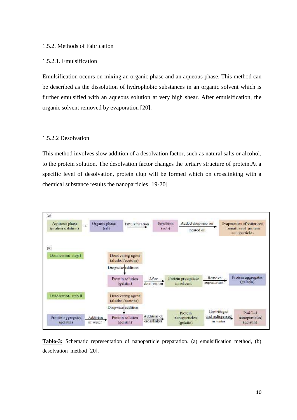#### 1.5.2. Methods of Fabrication

#### 1.5.2.1. Emulsification

Emulsification occurs on mixing an organic phase and an aqueous phase. This method can be described as the dissolution of hydrophobic substances in an organic solvent which is further emulsified with an aqueous solution at very high shear. After emulsification, the organic solvent removed by evaporation [20].

#### 1.5.2.2 Desolvation

This method involves slow addition of a desolvation factor, such as natural salts or alcohol, to the protein solution. The desolvation factor changes the tertiary structure of protein.At a specific level of desolvation, protein clup will be formed which on crosslinking with a chemical substance results the nanoparticles [19-20]



**Tablo-3:** Schematic representation of nanoparticle preparation. (a) emulsification method, (b) desolvation method [20].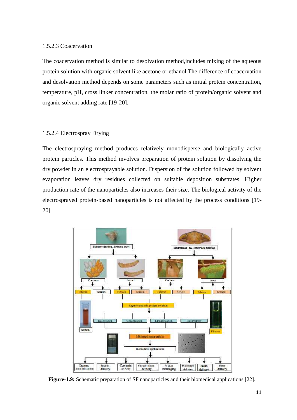#### 1.5.2.3 Coacervation

The coacervation method is similar to desolvation method,includes mixing of the aqueous protein solution with organic solvent like acetone or ethanol.The difference of coacervation and desolvation method depends on some parameters such as initial protein concentration, temperature, pH, cross linker concentration, the molar ratio of protein/organic solvent and organic solvent adding rate [19-20].

#### 1.5.2.4 Electrospray Drying

The electrospraying method produces relatively monodisperse and biologically active protein particles. This method involves preparation of protein solution by dissolving the dry powder in an electrosprayable solution. Dispersion of the solution followed by solvent evaporation leaves dry residues collected on suitable deposition substrates. Higher production rate of the nanoparticles also increases their size. The biological activity of the electrosprayed protein-based nanoparticles is not affected by the process conditions [19- 20]



**Figure-1.9:** Schematic preparation of SF nanoparticles and their biomedical applications [22].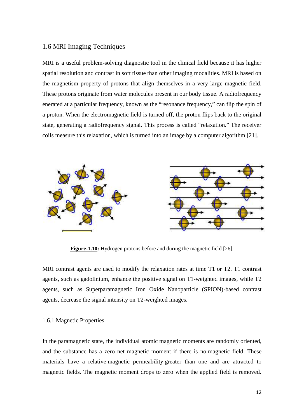#### 1.6 MRI Imaging Techniques

MRI is a useful problem-solving diagnostic tool in the clinical field because it has higher spatial resolution and contrast in soft tissue than other imaging modalities. MRI is based on the magnetism property of protons that align themselves in a very large magnetic field. These protons originate from water molecules present in our body tissue. A radiofrequency MRI is a useful problem-solving diagnostic tool in the clinical field because it has higher<br>spatial resolution and contrast in soft tissue than other imaging modalities. MRI is based on<br>the magnetism property of protons th a proton. When the electromagnetic field is turned off, the proton flips back to the original state, generating a radiofrequency signal. This process is called "relaxation." The receiver coils measure this relaxation, which is turned into an image by a computer algorithm [21].



**Figure-1.10:** Hydrogen protons before and during the magnetic field [26].

MRI contrast agents are used to modify the relaxation rates at time T1 or T2. T1 contrast agents, such as gadolinium, enhance the positive signal on T1-weighted images, while T2 agents, such as Superparamagnetic Iron Oxide Nanoparticle (SPION)-based contrast agents, decrease the signal intensity on T2-weighted images.

#### 1.6.1 Magnetic Properties

In the paramagnetic state, the individual atomic magnetic moments are randomly oriented, and the substance has a zero net magnetic moment if there is no magnetic field. These materials have a relative magnetic permeability greater than one and are attracted to magnetic fields. The magnetic moment drops to zero when the applied field is removed.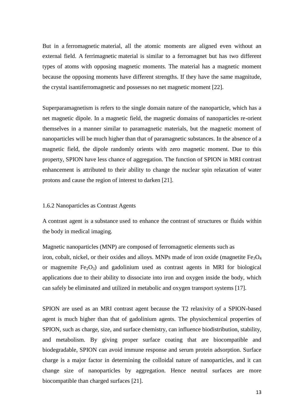But in a ferromagnetic material, all the atomic moments are aligned even without an external field. A ferrimagnetic material is similar to a ferromagnet but has two different types of atoms with opposing magnetic moments. The material has a magnetic moment because the opposing moments have different strengths. If they have the same magnitude, the crystal isantiferromagnetic and possesses no net magnetic moment [22].

Superparamagnetism is refers to the single domain nature of the nanoparticle, which has a net magnetic dipole. In a magnetic field, the magnetic domains of nanoparticles re-orient themselves in a manner similar to paramagnetic materials, but the magnetic moment of nanoparticles will be much higher than that of paramagnetic substances. In the absence of a magnetic field, the dipole randomly orients with zero magnetic moment. Due to this property, SPION have less chance of aggregation. The function of SPION in MRI contrast enhancement is attributed to their ability to change the nuclear spin relaxation of water protons and cause the region of interest to darken [21].

#### 1.6.2 Nanoparticles as Contrast Agents

A contrast agent is a substance used to enhance the contrast of structures or fluids within the body in medical imaging.

Magnetic nanoparticles (MNP) are composed of ferromagnetic elements such as iron, cobalt, nickel, or their oxides and alloys. MNPs made of iron oxide (magnetite  $Fe<sub>3</sub>O<sub>4</sub>$ or magnemite  $Fe<sub>2</sub>O<sub>3</sub>$  and gadolinium used as contrast agents in MRI for biological applications due to their ability to dissociate into iron and oxygen inside the body, which can safely be eliminated and utilized in metabolic and oxygen transport systems [17].

SPION are used as an MRI contrast agent because the T2 relaxivity of a SPION-based agent is much higher than that of gadolinium agents. The physiochemical properties of SPION, such as charge, size, and surface chemistry, can influence biodistribution, stability, and metabolism. By giving proper surface coating that are biocompatible and biodegradable, SPION can avoid immune response and serum protein adsorption. Surface charge is a major factor in determining the colloidal nature of nanoparticles, and it can change size of nanoparticles by aggregation. Hence neutral surfaces are more biocompatible than charged surfaces [21].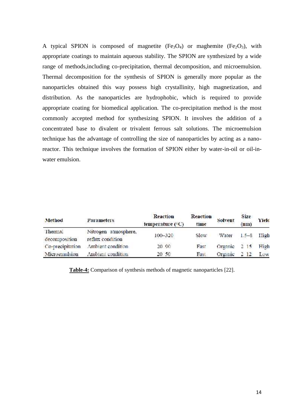A typical SPION is composed of magnetite  $(Fe<sub>3</sub>O<sub>4</sub>)$  or maghemite  $(Fe<sub>2</sub>O<sub>3</sub>)$ , with appropriate coatings to maintain aqueous stability. The SPION are synthesized by a wide range of methods,including co-precipitation, thermal decomposition, and microemulsion. Thermal decomposition for the synthesis of SPION is generally more popular as the nanoparticles obtained this way possess high crystallinity, high magnetization, and distribution. As the nanoparticles are hydrophobic, which is required to provide appropriate coating for biomedical application. The co-precipitation method is the most commonly accepted method for synthesizing SPION. It involves the addition of a concentrated base to divalent or trivalent ferrous salt solutions. The microemulsion technique has the advantage of controlling the size of nanoparticles by acting as a nanoreactor. This technique involves the formation of SPION either by water-in-oil or oil-inwater emulsion. range of methods, including co-precipitation, thermal decomposition, and microemulsion.<br>Thermal decomposition for the synthesis of SPION is generally more popular as the<br>nanoparticles obtained this way possess high crystal n aqueous stability. The SPION are synthe-<br>precipitation, thermal decomposition, and<br>e synthesis of SPION is generally more<br>ay possess high crystallinity, high mag<br>ticles are hydrophobic, which is requi<br>ical application. T

| Method           | Parameters           | Reaction<br>temperature $(^{\circ}C)$ | Reaction<br>time  | Solvent | Size<br>(nm) | Yield |
|------------------|----------------------|---------------------------------------|-------------------|---------|--------------|-------|
| Thermal          | Nitrogen atmosphere, |                                       |                   |         |              |       |
| decomposition    | reflux condition     | $100 - 320$                           | Slow <sup>-</sup> | Water   | $1.5 - 8.$   | Iligh |
| Co-precipitation | Ambient condition    | 20 90                                 | Fast              | Organic | 2, 15        | High  |
| Microenaulsion   | Ambient condition    | 20 50                                 | Fast              | Organic | 2, 12        | Low   |

**Table-4:** Comparison of synthesis methods of magnetic nanoparticles [22].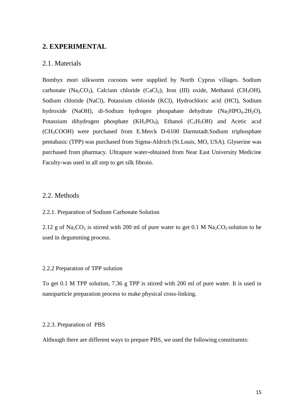#### **2. EXPERIMENTAL**

#### 2.1. Materials

Bombyx mori silkworm cocoons were supplied by North Cyprus villages. Sodium carbonate (Na<sub>2</sub>CO<sub>3</sub>), Calcium chloride (CaCl<sub>2</sub>), Iron (III) oxide, Methanol (CH<sub>3</sub>OH), Sodium chloride (NaCl), Potassium chloride (KCl), Hydrochloric acid (HCl), Sodium hydroxide (NaOH), di-Sodium hydrogen phospahate dehydrate (Na<sub>2</sub>HPO<sub>4</sub>.2H<sub>2</sub>O), Potassium dihydrogen phosphate  $(KH_2PO_4)$ , Ethanol  $(C_2H_5OH)$  and Acetic acid (CH3COOH) were purchased from E.Merck D-6100 Darmstadt.Sodium triphosphate pentabasic (TPP) was purchased from Sigma-Aldrich (St.Louis, MO, USA). Glyserine was purchased from pharmacy. Ultrapure water-obtained from Near East University Medicine Faculty-was used in all step to get silk fibroin.

#### 2.2. Methods

2.2.1. Preparation of Sodium Carbonate Solution

2.12 g of Na<sub>2</sub>CO<sub>3</sub> is stirred with 200 ml of pure water to get 0.1 M Na<sub>2</sub>CO<sub>3</sub> solution to be used in degumming process.

#### 2.2.2 Preparation of TPP solution

To get 0.1 M TPP solution, 7.36 g TPP is stirred with 200 ml of pure water. It is used in nanoparticle preparation process to make physical cross-linking.

#### 2.2.3. Preparation of PBS

Although there are different ways to prepare PBS, we used the following constituents: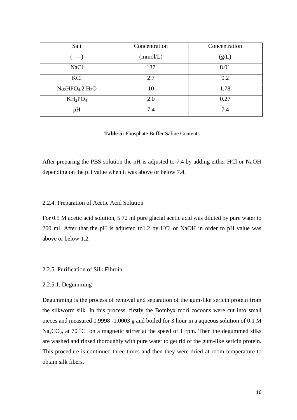| Salt                     | Concentration | Concentration |
|--------------------------|---------------|---------------|
| $\overline{\phantom{a}}$ | (mmol/L)      | (g/L)         |
| <b>NaCl</b>              | 137           | 8.01          |
| KCl                      | 2.7           | 0.2           |
| $Na2HPO4$ .2 $H2O$       | 10            | 1.78          |
| $KH_2PO_4$               | 2.0           | 0.27          |
| pH                       | 7.4           | 7.4           |

**Table-5:** Phosphate Buffer Saline Contents

After preparing the PBS solution the pH is adjusted to 7.4 by adding either HCl or NaOH depending on the pH value when it was above or below 7.4.

#### 2.2.4. Preparation of Acetic Acid Solution

For 0.5 M acetic acid solution, 5.72 ml pure glacial acetic acid was diluted by pure water to 200 ml. After that the pH is adjusted to1.2 by HCl or NaOH in order to pH value was above or below 1.2.

#### 2.2.5. Purification of Silk Fibroin

#### 2.2.5.1. Degumming

Degumming is the process of removal and separation of the gum-like sericin protein from the silkworm silk. In this process, firstly the Bombyx mori cocoons were cut into small pieces and measured 0.9998 -1.0003 g and boiled for 3 hour in a aqueous solution of 0.1 M Na<sub>2</sub>CO<sub>3</sub>, at 70 <sup>o</sup>C on a magnetic stirrer at the speed of 1 rpm. Then the degummed silks are washed and rinsed thoroughly with pure water to get rid of the gum-like sericin protein. This procedure is continued three times and then they were dried at room temperature to obtain silk fibers.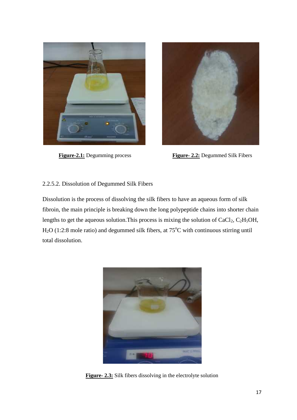



**Figure-2.1:** Degumming process **Figure- 2.2:** Degummed Silk Fibers

#### 2.2.5.2. Dissolution of Degummed Silk Fibers

Dissolution is the process of dissolving the silk fibers to have an aqueous form of silk fibroin, the main principle is breaking down the long polypeptide chains into shorter chain lengths to get the aqueous solution. This process is mixing the solution of  $CaCl<sub>2</sub>$ ,  $C<sub>2</sub>H<sub>5</sub>OH$ ,  $H<sub>2</sub>O$  (1:2:8 mole ratio) and degummed silk fibers, at 75 $^{\circ}$ C with continuous stirring until total dissolution.



**Figure- 2.3:** Silk fibers dissolving in the electrolyte solution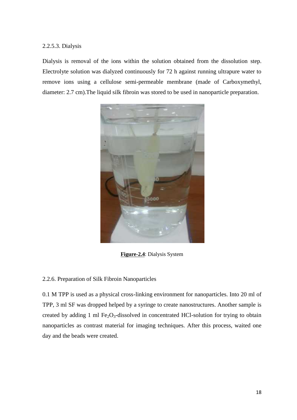#### 2.2.5.3. Dialysis

Dialysis is removal of the ions within the solution obtained from the dissolution step. Electrolyte solution was dialyzed continuously for 72 h against running ultrapure water to remove ions using a cellulose semi-permeable membrane (made of Carboxymethyl, diameter: 2.7 cm).The liquid silk fibroin was stored to be used in nanoparticle preparation.



**Figure-2.4**: Dialysis System

#### 2.2.6. Preparation of Silk Fibroin Nanoparticles

0.1 M TPP is used as a physical cross-linking environment for nanoparticles. Into 20 ml of TPP, 3 ml SF was dropped helped by a syringe to create nanostructures. Another sample is created by adding 1 ml  $Fe<sub>2</sub>O<sub>3</sub>$ -dissolved in concentrated HCl-solution for trying to obtain nanoparticles as contrast material for imaging techniques. After this process, waited one day and the beads were created.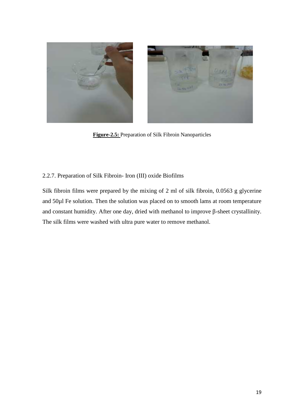

**Figure-2.5:** Preparation of Silk Fibroin Nanoparticles

#### 2.2.7. Preparation of Silk Fibroin- Iron (III) oxide Biofilms

Silk fibroin films were prepared by the mixing of 2 ml of silk fibroin, 0.0563 g glycerine and 50µl Fe solution. Then the solution was placed on to smooth lams at room temperature and constant humidity. After one day, dried with methanol to improve -sheet crystallinity. The silk films were washed with ultra pure water to remove methanol.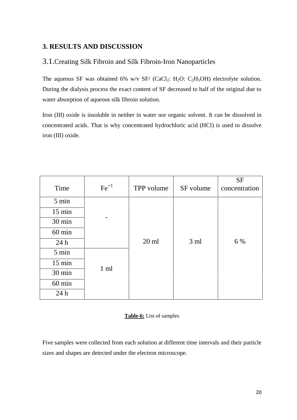## **3. RESULTS AND DISCUSSION**

## 3.1.Creating Silk Fibroin and Silk Fibroin-Iron Nanoparticles

The aqueous SF was obtained 6% w/v SF/ (CaCl<sub>2</sub>: H<sub>2</sub>O: C<sub>2</sub>H<sub>5</sub>OH) electrolyte solution. During the dialysis process the exact content of SF decreased to half of the original due to water absorption of aqueous silk fibroin solution.

Iron (III) oxide is insoluble in neither in water nor organic solvent. It can be dissolved in concentrated acids. That is why concentrated hydrochloric acid (HCl) is used to dissolve iron (III) oxide.

| Time             | $Fe+3$         | TPP volume | SF volume       | <b>SF</b><br>concentration |
|------------------|----------------|------------|-----------------|----------------------------|
| 5 min            |                |            |                 |                            |
| $15 \text{ min}$ |                |            |                 |                            |
| 30 min           |                |            |                 |                            |
| $60 \text{ min}$ |                |            |                 |                            |
| 24h              |                | $20$ ml    | 3 <sub>ml</sub> | 6 %                        |
| 5 min            |                |            |                 |                            |
| $15 \text{ min}$ |                |            |                 |                            |
| 30 min           | $1 \text{ ml}$ |            |                 |                            |
| $60$ min         |                |            |                 |                            |
| 24h              |                |            |                 |                            |

#### **Table-6:** List of samples

Five samples were collected from each solution at different time intervals and their particle sizes and shapes are detected under the electron microscope.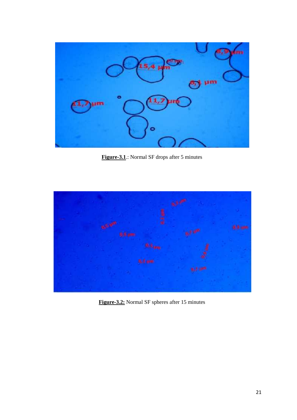

**Figure-3.1**.: Normal SF drops after 5 minutes



**Figure-3.2:** Normal SF spheres after 15 minutes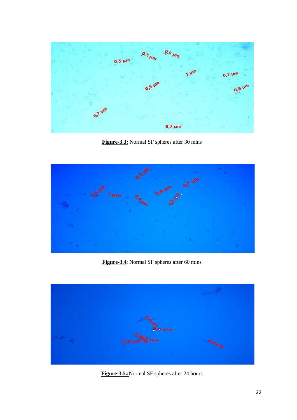

**Figure-3.3:** Normal SF spheres after 30 mins



**Figure-3.4**: Normal SF spheres after 60 mins



**Figure-3.5.:**Normal SF spheres after 24 hours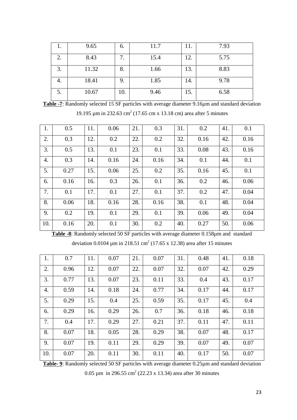|    | 9.65  | 6.  | 11.7 | 11. | 7.93 |
|----|-------|-----|------|-----|------|
|    | 8.43  | 7.  | 15.4 | 12. | 5.75 |
| 3. | 11.32 | 8.  | 1.66 | 13. | 8.83 |
| 4. | 18.41 | 9.  | 1.85 | 14. | 9.78 |
| J. | 10.67 | 10. | 9.46 | 15. | 6.58 |

**Table -7**: Randomly selected 15 SF particles with average diameter 9.16µm and standard deviation 19.195 μm in 232.63 cm<sup>2</sup> (17.65 cm x 13.18 cm) area after 5 minutes

| 1.  | 0.5  | 11. | 0.06 | 21. | 0.3  | 31. | 0.2  | 41. | 0.1  |
|-----|------|-----|------|-----|------|-----|------|-----|------|
| 2.  | 0.3  | 12. | 0.2  | 22. | 0.2  | 32. | 0.16 | 42. | 0.16 |
| 3.  | 0.5  | 13. | 0.1  | 23. | 0.1  | 33. | 0.08 | 43. | 0.16 |
| 4.  | 0.3  | 14. | 0.16 | 24. | 0.16 | 34. | 0.1  | 44. | 0.1  |
| 5.  | 0.27 | 15. | 0.06 | 25. | 0.2  | 35. | 0.16 | 45. | 0.1  |
| 6.  | 0.16 | 16. | 0.3  | 26. | 0.1  | 36. | 0.2  | 46. | 0.06 |
| 7.  | 0.1  | 17. | 0.1  | 27. | 0.1  | 37. | 0.2  | 47. | 0.04 |
| 8.  | 0.06 | 18. | 0.16 | 28. | 0.16 | 38. | 0.1  | 48. | 0.04 |
| 9.  | 0.2  | 19. | 0.1  | 29. | 0.1  | 39. | 0.06 | 49. | 0.04 |
| 10. | 0.16 | 20. | 0.1  | 30. | 0.2  | 40. | 0.27 | 50. | 0.06 |
|     |      |     |      |     |      |     |      |     |      |

**Table -8**: Randomly selected 50 SF particles with average diameter 0.158µm and standard

deviation 0.0104  $\mu$ m in 218.51 cm<sup>2</sup> (17.65 x 12.38) area after 15 minutes

| 1.  | 0.7  | 11. | 0.07 | 21. | 0.07 | 31. | 0.48 | 41. | 0.18 |
|-----|------|-----|------|-----|------|-----|------|-----|------|
| 2.  | 0.96 | 12. | 0.07 | 22. | 0.07 | 32. | 0.07 | 42. | 0.29 |
| 3.  | 0.77 | 13. | 0.07 | 23. | 0.11 | 33. | 0.4  | 43. | 0.17 |
| 4.  | 0.59 | 14. | 0.18 | 24. | 0.77 | 34. | 0.17 | 44. | 0.17 |
| 5.  | 0.29 | 15. | 0.4  | 25. | 0.59 | 35. | 0.17 | 45. | 0.4  |
| 6.  | 0.29 | 16. | 0.29 | 26. | 0.7  | 36. | 0.18 | 46. | 0.18 |
| 7.  | 0.4  | 17. | 0.29 | 27. | 0.21 | 37. | 0.11 | 47. | 0.11 |
| 8.  | 0.07 | 18. | 0.05 | 28. | 0.29 | 38. | 0.07 | 48. | 0.17 |
| 9.  | 0.07 | 19. | 0.11 | 29. | 0.29 | 39. | 0.07 | 49. | 0.07 |
| 10. | 0.07 | 20. | 0.11 | 30. | 0.11 | 40. | 0.17 | 50. | 0.07 |

**Table- 9**: Randomly selected 50 SF particles with average diameter 0.25µm and standard deviation

0.05  $\mu$ m in 296.55 cm<sup>2</sup> (22.23 x 13.34) area after 30 minutes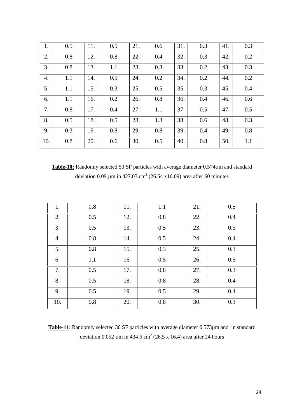| 1.  | 0.5 | 11. | 0.5 | 21. | 0.6 | 31. | 0.3 | 41. | 0.3 |
|-----|-----|-----|-----|-----|-----|-----|-----|-----|-----|
| 2.  | 0.8 | 12. | 0.8 | 22. | 0.4 | 32. | 0.3 | 42. | 0.2 |
| 3.  | 0.8 | 13. | 1.1 | 23. | 0.3 | 33. | 0.2 | 43. | 0.3 |
| 4.  | 1.1 | 14. | 0.5 | 24. | 0.2 | 34. | 0.2 | 44. | 0.2 |
| 5.  | 1.1 | 15. | 0.3 | 25. | 0.5 | 35. | 0.3 | 45. | 0.4 |
| 6.  | 1.1 | 16. | 0.2 | 26. | 0.8 | 36. | 0.4 | 46. | 0.6 |
| 7.  | 0.8 | 17. | 0.4 | 27. | 1.1 | 37. | 0.5 | 47. | 0.5 |
| 8.  | 0.5 | 18. | 0.5 | 28. | 1.3 | 38. | 0.6 | 48. | 0.3 |
| 9.  | 0.3 | 19. | 0.8 | 29. | 0.8 | 39. | 0.4 | 49. | 0.8 |
| 10. | 0.8 | 20. | 0.6 | 30. | 0.5 | 40. | 0.8 | 50. | 1.1 |

**Table-10:** Randomly selected 50 SF particles with average diameter 0.574µm and standard deviation 0.09  $\mu$ m in 427.03 cm<sup>2</sup> (26.54 x16.09) area after 60 minutes

| 1.  | 0.8 | 11. | 1.1 | 21. | 0.5 |
|-----|-----|-----|-----|-----|-----|
| 2.  | 0.5 | 12. | 0.8 | 22. | 0.4 |
| 3.  | 0.5 | 13. | 0.5 | 23. | 0.3 |
| 4.  | 0.8 | 14. | 0.5 | 24. | 0.4 |
| 5.  | 0.8 | 15. | 0.3 | 25. | 0.3 |
| 6.  | 1.1 | 16. | 0.5 | 26. | 0.5 |
| 7.  | 0.5 | 17. | 0.8 | 27. | 0.3 |
| 8.  | 0.5 | 18. | 0.8 | 28. | 0.4 |
| 9.  | 0.5 | 19. | 0.5 | 29. | 0.4 |
| 10. | 0.8 | 20. | 0.8 | 30. | 0.3 |

**Table-11**: Randomly selected 30 SF particles with average diameter 0.573µm and in standard deviation  $0.052 \mu m$  in 434.6 cm<sup>2</sup> (26.5 x 16.4) area after 24 hours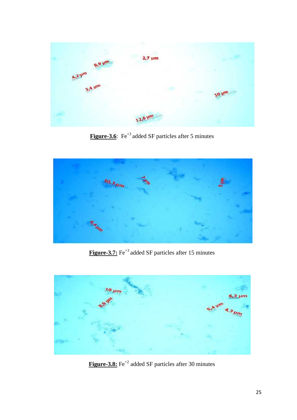

**Figure-3.6**: Fe<sup>+3</sup> added SF particles after 5 minutes



Figure-3.7: Fe<sup>+3</sup> added SF particles after 15 minutes

![](_page_32_Picture_4.jpeg)

**Figure-3.8:** Fe<sup>+2</sup> added SF particles after 30 minutes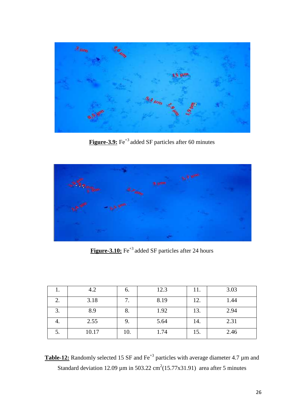![](_page_33_Picture_0.jpeg)

**Figure-3.9:** Fe<sup>+3</sup> added SF particles after 60 minutes

![](_page_33_Picture_2.jpeg)

**Figure-3.10:** Fe<sup>+3</sup> added SF particles after 24 hours

|    | 4.2   | O.  | 12.3 | 11. | 3.03 |
|----|-------|-----|------|-----|------|
| 2. | 3.18  | 7.  | 8.19 | 12. | 1.44 |
| 3. | 8.9   | 8.  | 1.92 | 13. | 2.94 |
| 4. | 2.55  | 9.  | 5.64 | 14. | 2.31 |
| ິ. | 10.17 | 10. | 1.74 | 15. | 2.46 |

**Table-12:** Randomly selected 15 SF and Fe<sup>+3</sup> particles with average diameter 4.7 µm and Standard deviation 12.09  $\mu$ m in 503.22 cm<sup>2</sup>(15.77x31.91) area after 5 minutes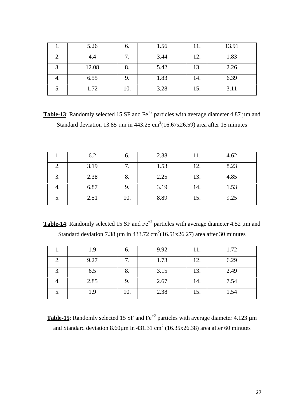|   | 5.26  | 6.  | 1.56 |     | 13.91 |
|---|-------|-----|------|-----|-------|
|   | 4.4   | 7.  | 3.44 | 12. | 1.83  |
| ◠ | 12.08 | o.  | 5.42 | 13. | 2.26  |
|   | 6.55  | 9.  | 1.83 | 14. | 6.39  |
|   | 1.72  | 10. | 3.28 | 15. | 3.11  |

**Table-13**: Randomly selected 15 SF and  $Fe^{+2}$  particles with average diameter 4.87  $\mu$ m and Standard deviation 13.85  $\mu$ m in 443.25 cm<sup>2</sup>(16.67x26.59) area after 15 minutes

|                    | 6.2  | O.  | 2.38 | 11. | 4.62 |
|--------------------|------|-----|------|-----|------|
| 2.                 | 3.19 |     | 1.53 | 12. | 8.23 |
| $\mathbf{z}$<br>J. | 2.38 | o.  | 2.25 | 13. | 4.85 |
| 4.                 | 6.87 | 9.  | 3.19 | 14. | 1.53 |
| J.                 | 2.51 | 10. | 8.89 | 15. | 9.25 |

**Table-14**: Randomly selected 15 SF and  $Fe^{+2}$  particles with average diameter 4.52  $\mu$ m and Standard deviation 7.38  $\mu$ m in 433.72 cm<sup>2</sup>(16.51x26.27) area after 30 minutes

|    | 1.9  | 6.  | 9.92 | 11. | 1.72 |
|----|------|-----|------|-----|------|
| ۷. | 9.27 |     | 1.73 | 12. | 6.29 |
| ິ. | 6.5  | 0.  | 3.15 | 13. | 2.49 |
| ч. | 2.85 | 9.  | 2.67 | 14. | 7.54 |
| J. | 1.9  | 10. | 2.38 | 15. | 1.54 |

**Table-15**: Randomly selected 15 SF and  $\text{Fe}^{+2}$  particles with average diameter 4.123  $\mu$ m and Standard deviation 8.60 $\mu$ m in 431.31 cm<sup>2</sup> (16.35x26.38) area after 60 minutes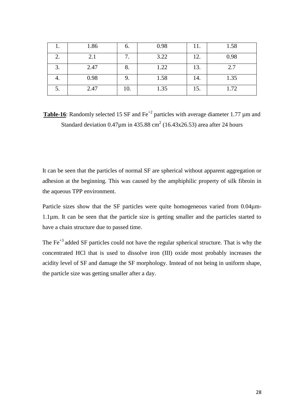|                   | 1.86 | b.  | 0.98 | 11. | 1.58 |
|-------------------|------|-----|------|-----|------|
| ۷.                | 2.1  |     | 3.22 | 12. | 0.98 |
| $\mathbf 3$<br>ິ. | 2.47 | ð.  | 1.22 | 13. | 2.7  |
| т.                | 0.98 |     | 1.58 | 14. | 1.35 |
| J.                | 2.47 | 10. | 1.35 | 15. | 1.72 |

**Table-16**: Randomly selected 15 SF and  $\text{Fe}^{+2}$  particles with average diameter 1.77  $\mu$ m and Standard deviation  $0.47\mu$ m in  $435.88 \text{ cm}^2$  (16.43x26.53) area after 24 hours

It can be seen that the particles of normal SF are spherical without apparent aggregation or adhesion at the beginning. This was caused by the amphiphilic property of silk fibroin in the aqueous TPP environment.

Particle sizes show that the SF particles were quite homogeneous varied from 0.04 $\mu$ m-1.1µm. It can be seen that the particle size is getting smaller and the particles started to have a chain structure due to passed time.

The  $Fe<sup>+3</sup>$  added SF particles could not have the regular spherical structure. That is why the concentrated HCl that is used to dissolve iron (III) oxide most probably increases the acidity level of SF and damage the SF morphology. Instead of not being in uniform shape, the particle size was getting smaller after a day.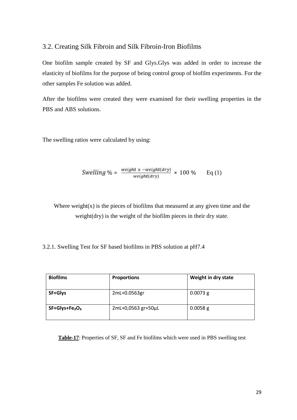#### 3.2. Creating Silk Fibroin and Silk Fibroin-Iron Biofilms

One biofilm sample created by SF and Glys.Glys was added in order to increase the elasticity of biofilms for the purpose of being control group of biofilm experiments. For the other samples Fe solution was added.

After the biofilms were created they were examined for their swelling properties in the PBS and ABS solutions.

The swelling ratios were calculated by using:

$$
Swelling \% = \frac{\text{weight} \times -\text{weight}(\text{dry})}{\text{weight}(\text{dry})} \times 100\% \qquad \text{Eq (1)}
$$

Where weight $(x)$  is the pieces of biofilms that measured at any given time and the weight(dry) is the weight of the biofilm pieces in their dry state.

3.2.1. Swelling Test for SF based biofilms in PBS solution at pH7.4

| <b>Biofilms</b> | <b>Proportions</b> | Weight in dry state |
|-----------------|--------------------|---------------------|
| SF+Glys         | 2mL+0.0563gr       | $0.0073$ g          |
| $SF+Glys+Fe2O3$ | 2mL+0,0563 gr+50µL | $0.0058$ g          |

**Table-17**: Properties of SF, SF and Fe biofilms which were used in PBS swelling test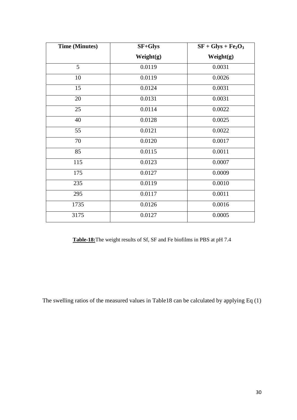| <b>Time (Minutes)</b> | <b>SF+Glys</b> | $SF + Glys + Fe2O3$ |
|-----------------------|----------------|---------------------|
|                       | Weight(g)      | Weight(g)           |
| 5                     | 0.0119         | 0.0031              |
| 10                    | 0.0119         | 0.0026              |
| 15                    | 0.0124         | 0.0031              |
| 20                    | 0.0131         | 0.0031              |
| 25                    | 0.0114         | 0.0022              |
| 40                    | 0.0128         | 0.0025              |
| 55                    | 0.0121         | 0.0022              |
| 70                    | 0.0120         | 0.0017              |
| 85                    | 0.0115         | 0.0011              |
| 115                   | 0.0123         | 0.0007              |
| 175                   | 0.0127         | 0.0009              |
| 235                   | 0.0119         | 0.0010              |
| 295                   | 0.0117         | 0.0011              |
| 1735                  | 0.0126         | 0.0016              |
| 3175                  | 0.0127         | 0.0005              |

**Table-18:**The weight results of Sf, SF and Fe biofilms in PBS at pH 7.4

The swelling ratios of the measured values in Table18 can be calculated by applying Eq (1)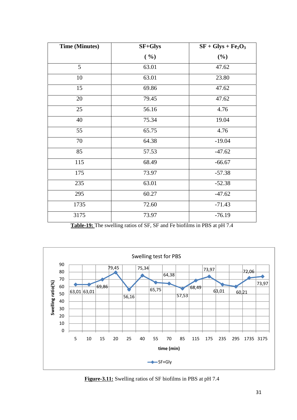| <b>Time (Minutes)</b> | <b>SF+Glys</b> | $SF + Glys + Fe2O3$ |
|-----------------------|----------------|---------------------|
|                       | ( %)           | (%)                 |
| 5                     | 63.01          | 47.62               |
| 10                    | 63.01          | 23.80               |
| 15                    | 69.86          | 47.62               |
| 20                    | 79.45          | 47.62               |
| 25                    | 56.16          | 4.76                |
| 40                    | 75.34          | 19.04               |
| 55                    | 65.75          | 4.76                |
| 70                    | 64.38          | $-19.04$            |
| 85                    | 57.53          | $-47.62$            |
| 115                   | 68.49          | $-66.67$            |
| 175                   | 73.97          | $-57.38$            |
| 235                   | 63.01          | $-52.38$            |
| 295                   | 60.27          | $-47.62$            |
| 1735                  | 72.60          | $-71.43$            |
| 3175                  | 73.97          | $-76.19$            |

**Table-19:** The swelling ratios of SF, SF and Fe biofilms in PBS at pH 7.4

![](_page_38_Figure_2.jpeg)

**Figure-3.11:** Swelling ratios of SF biofilms in PBS at pH 7.4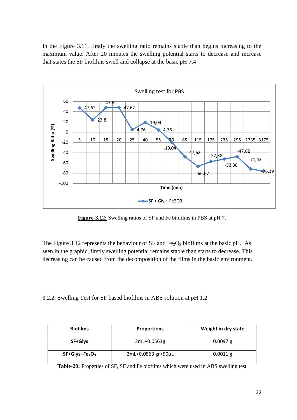In the Figure 3.11, firstly the swelling ratio remains stable than begins increasing to the maximum value. After 20 minutes the swelling potential starts to decrease and increase that states the SF biofilms swell and collapse at the basic pH 7.4

![](_page_39_Figure_1.jpeg)

**Figure-3.12:** Swelling ratios of SF and Fe biofilms in PBS at pH 7.

The Figure 3.12 represents the behaviour of SF and  $Fe<sub>2</sub>O<sub>3</sub>$  biofilms at the basic pH. As seen in the graphic, firstly swelling potential remains stable than starts to decrease. This decreasing can be caused from the decomposition of the films in the basic environment.

3.2.2. Swelling Test for SF based biofilms in ABS solution at pH 1.2

| <b>Biofilms</b> | <b>Proportions</b> | Weight in dry state |
|-----------------|--------------------|---------------------|
| SF+Glys         | 2mL+0.0563g        | $0.0097$ g          |
| $SF+Glys+Fe2O3$ | 2mL+0,0563 gr+50µL | $0.0011$ g          |

**Table-20:** Properties of SF, SF and Fe biofilms which were used in ABS swelling test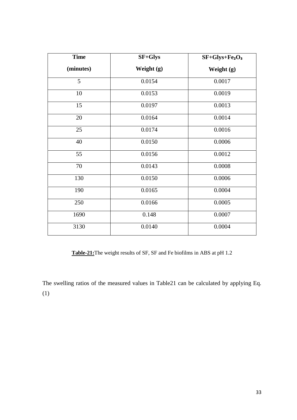| <b>Time</b> | SF+Glys    | $SF+Glys + Fe2O3$ |
|-------------|------------|-------------------|
| (minutes)   | Weight (g) | Weight (g)        |
| 5           | 0.0154     | 0.0017            |
| 10          | 0.0153     | 0.0019            |
| 15          | 0.0197     | 0.0013            |
| 20          | 0.0164     | 0.0014            |
| 25          | 0.0174     | 0.0016            |
| 40          | 0.0150     | 0.0006            |
| 55          | 0.0156     | 0.0012            |
| 70          | 0.0143     | 0.0008            |
| 130         | 0.0150     | 0.0006            |
| 190         | 0.0165     | 0.0004            |
| 250         | 0.0166     | 0.0005            |
| 1690        | 0.148      | 0.0007            |
| 3130        | 0.0140     | 0.0004            |

**Table-21:**The weight results of SF, SF and Fe biofilms in ABS at pH 1.2

The swelling ratios of the measured values in Table21 can be calculated by applying Eq. (1)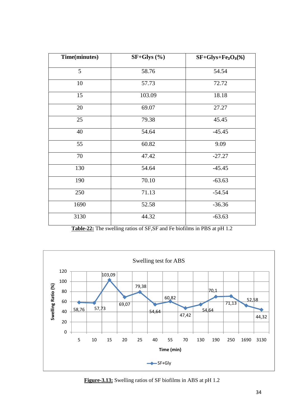| Time(minutes) | $SF+Glys$ (%) | $SF+Glys + Fe2O3(%)$ |
|---------------|---------------|----------------------|
| 5             | 58.76         | 54.54                |
| 10            | 57.73         | 72.72                |
| 15            | 103.09        | 18.18                |
| 20            | 69.07         | 27.27                |
| 25            | 79.38         | 45.45                |
| 40            | 54.64         | $-45.45$             |
| 55            | 60.82         | 9.09                 |
| 70            | 47.42         | $-27.27$             |
| 130           | 54.64         | $-45.45$             |
| 190           | 70.10         | $-63.63$             |
| 250           | 71.13         | $-54.54$             |
| 1690          | 52.58         | $-36.36$             |
| 3130          | 44.32         | $-63.63$             |

**Table-22:** The swelling ratios of SF,SF and Fe biofilms in PBS at pH 1.2

![](_page_41_Figure_2.jpeg)

**Figure-3.13:** Swelling ratios of SF biofilms in ABS at pH 1.2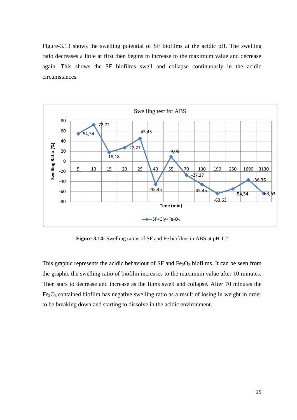Figure-3.13 shows the swelling potential of SF biofilms at the acidic pH. The swelling ratio decreases a little at first then begins to increase to the maximum value and decrease again. This shows the SF biofilms swell and collapse continuously in the acidic circumstances.

![](_page_42_Figure_1.jpeg)

**Figure-3.14:** Swelling ratios of SF and Fe biofilms in ABS at pH 1.2

This graphic represents the acidic behaviour of SF and  $Fe<sub>2</sub>O<sub>3</sub>$  biofilms. It can be seen from the graphic the swelling ratio of biofilm increases to the maximum value after 10 minutes. Then stars to decrease and increase as the films swell and collapse. After 70 minutes the  $Fe<sub>2</sub>O<sub>3</sub>$  contained biofilm has negative swelling ratio as a result of losing in weight in order to be breaking down and starting to dissolve in the acidic environment.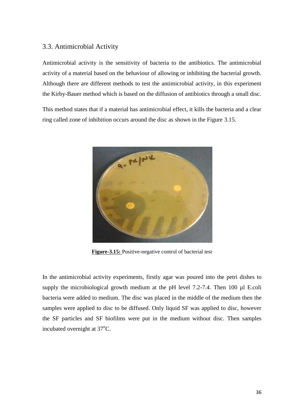#### 3.3. Antimicrobial Activity

Antimicrobial activity is the sensitivity of bacteria to the antibiotics. The antimicrobial activity of a material based on the behaviour of allowing or inhibiting the bacterial growth. Although there are different methods to test the antimicrobial activity, in this experiment the Kirby-Bauer method which is based on the diffusion of antibiotics through a small disc.

This method states that if a material has antimicrobial effect, it kills the bacteria and a clear ring called zone of inhibition occurs around the disc as shown in the Figure 3.15.

![](_page_43_Picture_3.jpeg)

**Figure-3.15:** Positive-negative control of bacterial test

In the antimicrobial activity experiments, firstly agar was poured into the petri dishes to supply the microbiological growth medium at the pH level 7.2-7.4. Then 100 µl E.coli bacteria were added to medium. The disc was placed in the middle of the medium then the samples were applied to disc to be diffused. Only liquid SF was applied to disc, however the SF particles and SF biofilms were put in the medium without disc. Then samples incubated overnight at  $37^{\circ}$ C.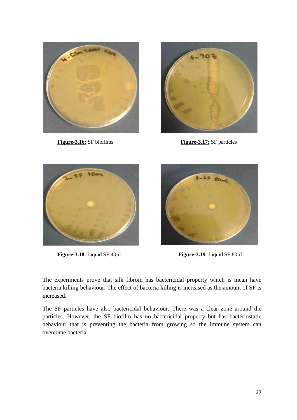![](_page_44_Picture_0.jpeg)

**Figure-3.16:** SF biofilms **Figure-3.17:** SF particles

![](_page_44_Picture_2.jpeg)

![](_page_44_Picture_4.jpeg)

![](_page_44_Picture_6.jpeg)

**Figure-3.18**: Liquid SF 40µ1 **Figure-3.19**: Liquid SF 80µ1

The experiments prove that silk fibroin has bactericidal property which is mean have bacteria killing behaviour. The effect of bacteria killing is increased as the amount of SF is increased.

The SF particles have also bactericidal behaviour. There was a clear zone around the particles. However, the SF biofilm has no bactericidal property but has bacteriostatic behaviour that is preventing the bacteria from growing so the immune system can overcome bacteria.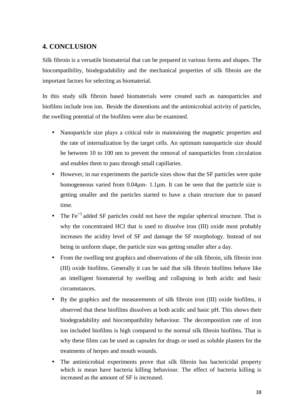### **4. CONCLUSION**

Silk fibroin is a versatile biomaterial that can be prepared in various forms and shapes. The biocompatibility, biodegradability and the mechanical properties of silk fibroin are the important factors for selecting as biomaterial.

In this study silk fibroin based biomaterials were created such as nanoparticles and biofilms include iron ion. Beside the dimentions and the antimicrobial activity of particles, the swelling potential of the biofilms were also be examined.

- Nanoparticle size plays a critical role in maintaining the magnetic properties and the rate of internalization by the target cells. An optimum nanoparticle size should be between 10 to 100 nm to prevent the removal of nanoparticles from circulation and enables them to pass through small capillaries.
- However, in our experiments the particle sizes show that the SF particles were quite homogeneous varied from 0.04 $\mu$ m- 1.1 $\mu$ m. It can be seen that the particle size is getting smaller and the particles started to have a chain structure due to passed time.
- The Fe+3 added SF particles could not have the regular spherical structure. That is why the concentrated HCl that is used to dissolve iron (III) oxide most probably increases the acidity level of SF and damage the SF morphology. Instead of not being in uniform shape, the particle size was getting smaller after a day.
- From the swelling test graphics and observations of the silk fibroin, silk fibroin iron (III) oxide biofilms. Generally it can be said that silk fibroin biofilms behave like an intelligent biomaterial by swelling and collapsing in both acidic and basic circumstances.
- By the graphics and the measurements of silk fibroin iron (III) oxide biofilms, it observed that these biofilms dissolves at both acidic and basic pH. This shows their biodegradability and biocompatibility behaviour. The decomposition rate of iron ion included biofilms is high compared to the normal silk fibroin biofilms. That is why these films can be used as capsules for drugs or used as soluble plasters for the treatments of herpes and mouth wounds.
- The antimicrobial experiments prove that silk fibroin has bactericidal property which is mean have bacteria killing behaviour. The effect of bacteria killing is increased as the amount of SF is increased.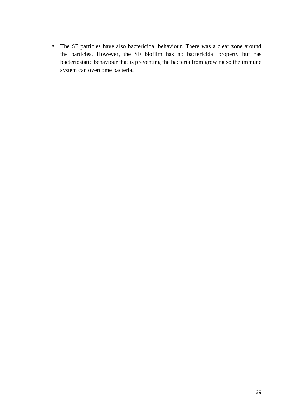The SF particles have also bactericidal behaviour. There was a clear zone around the particles. However, the SF biofilm has no bactericidal property but has bacteriostatic behaviour that is preventing the bacteria from growing so the immune system can overcome bacteria.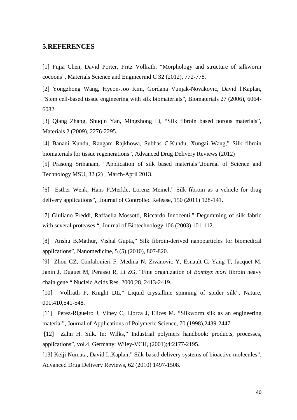#### **5.REFERENCES**

[1] Fujia Chen, David Porter, Fritz Vollrath, "Morphology and structure of silkworm cocoons", Materials Science and Engineerind C 32 (2012), 772-778.

[2] Yongzhong Wang, Hyeon-Joo Kim, Gordana Vunjak-Novakovic, David l.Kaplan, "Stem cell-based tissue engineering with silk biomaterials", Biomaterials 27 (2006), 6064- 6082

[3] Qiang Zhang, Shuqin Yan, Mingzhong Li, "Silk fibroin based porous materials", Materials 2 (2009), 2276-2295.

[4] Banani Kundu, Rangam Rajkhowa, Subhas C.Kundu, Xungai Wang," Silk fibroin biomaterials for tissue regenerations", Advanced Drug Delivery Reviews (2012)

[5] Prasong Srihanam, "Application of silk based materials".Journal of Science and Technology MSU, 32 (2) , March-April 2013.

[6] Esther Wenk, Hans P.Merkle, Lorenz Meinel," Silk fibroin as a vehicle for drug delivery applications", Journal of Controlled Release, 150 (2011) 128-141.

[7] Giuliano Freddi, Raffaella Mossotti, Riccardo Innocenti," Degumming of silk fabric with several proteases ", Journal of Biotechnology 106 (2003) 101-112.

[8] Anshu B.Mathur, Vishal Gupta," Silk fibroin-derived nanoparticles for biomedical applications", Nanomedicine, 5 (5),(2010), 807-820.

[9] Zhou CZ, Confalonieri F, Medina N, Zivanovic Y, Esnault C, Yang T, Jacquet M, Janin J, Duguet M, Perasso R, Li ZG, "Fine organization of *Bombyx mori* fibroin heavy chain gene " Nucleic Acids Res, 2000;28, 2413-2419.

[10] Vollrath F, Knight DL," Liquid crystalline spinning of spider silk", Nature, 001;410,541-548.

[11] Pérez-Rigueiro J, Viney C, Llorca J, Elices M. "Silkworm silk as an engineering material", Journal of Applications of Polymeric Science*,* 70 (1998),2439-2447

[12] Zahn H. Silk. In: Wilks," Industrial polymers handbook: products, processes, applications", vol.4. Germany: Wiley-VCH, (2001);4:2177-2195.

[13] Keiji Numata, David L.Kaplan," Silk-based delivery systems of bioactive molecules", Advanced Drug Delivery Reviews, 62 (2010) 1497-1508.